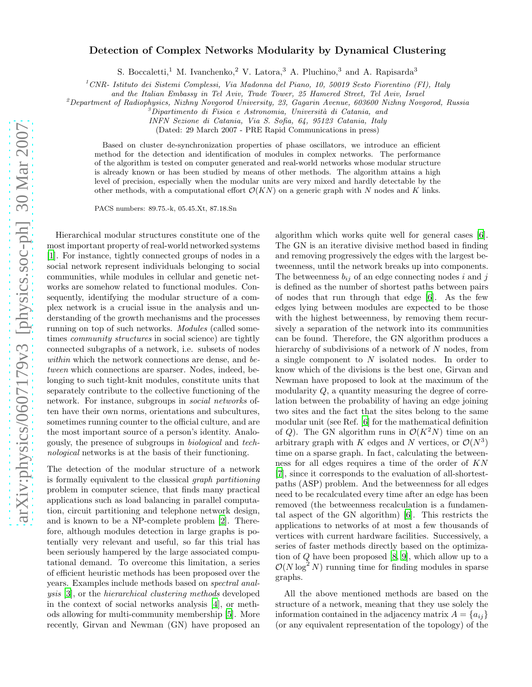## Detection of Complex Networks Modularity by Dynamical Clustering

S. Boccaletti,<sup>1</sup> M. Ivanchenko,<sup>2</sup> V. Latora,<sup>3</sup> A. Pluchino,<sup>3</sup> and A. Rapisarda<sup>3</sup>

<sup>1</sup>*CNR- Istituto dei Sistemi Complessi, Via Madonna del Piano, 10, 50019 Sesto Fiorentino (FI), Italy*

*and the Italian Embassy in Tel Aviv, Trade Tower, 25 Hamered Street, Tel Aviv, Israel*

<sup>2</sup>*Department of Radiophysics, Nizhny Novgorod University, 23, Gagarin Avenue, 603600 Nizhny Novgorod, Russia*

<sup>3</sup>*Dipartimento di Fisica e Astronomia, Universit`a di Catania, and*

*INFN Sezione di Catania, Via S. Sofia, 64, 95123 Catania, Italy*

(Dated: 29 March 2007 - PRE Rapid Communications in press)

Based on cluster de-synchronization properties of phase oscillators, we introduce an efficient method for the detection and identification of modules in complex networks. The performance of the algorithm is tested on computer generated and real-world networks whose modular structure is already known or has been studied by means of other methods. The algorithm attains a high level of precision, especially when the modular units are very mixed and hardly detectable by the other methods, with a computational effort  $\mathcal{O}(KN)$  on a generic graph with N nodes and K links.

PACS numbers: 89.75.-k, 05.45.Xt, 87.18.Sn

Hierarchical modular structures constitute one of the most important property of real-world networked systems [\[1\]](#page-3-0). For instance, tightly connected groups of nodes in a social network represent individuals belonging to social communities, while modules in cellular and genetic networks are somehow related to functional modules. Consequently, identifying the modular structure of a complex network is a crucial issue in the analysis and understanding of the growth mechanisms and the processes running on top of such networks. Modules (called sometimes community structures in social science) are tightly connected subgraphs of a network, i.e. subsets of nodes within which the network connections are dense, and between which connections are sparser. Nodes, indeed, belonging to such tight-knit modules, constitute units that separately contribute to the collective functioning of the network. For instance, subgroups in social networks often have their own norms, orientations and subcultures, sometimes running counter to the official culture, and are the most important source of a person's identity. Analogously, the presence of subgroups in biological and technological networks is at the basis of their functioning.

The detection of the modular structure of a network is formally equivalent to the classical graph partitioning problem in computer science, that finds many practical applications such as load balancing in parallel computation, circuit partitioning and telephone network design, and is known to be a NP-complete problem [\[2\]](#page-3-1). Therefore, although modules detection in large graphs is potentially very relevant and useful, so far this trial has been seriously hampered by the large associated computational demand. To overcome this limitation, a series of efficient heuristic methods has been proposed over the years. Examples include methods based on spectral analysis [\[3](#page-3-2)], or the hierarchical clustering methods developed in the context of social networks analysis [\[4\]](#page-3-3), or methods allowing for multi-community membership [\[5\]](#page-3-4). More recently, Girvan and Newman (GN) have proposed an

algorithm which works quite well for general cases [\[6\]](#page-3-5). The GN is an iterative divisive method based in finding and removing progressively the edges with the largest betweenness, until the network breaks up into components. The betweenness  $b_{ij}$  of an edge connecting nodes i and j is defined as the number of shortest paths between pairs of nodes that run through that edge [\[6](#page-3-5)]. As the few edges lying between modules are expected to be those with the highest betweenness, by removing them recursively a separation of the network into its communities can be found. Therefore, the GN algorithm produces a hierarchy of subdivisions of a network of N nodes, from a single component to N isolated nodes. In order to know which of the divisions is the best one, Girvan and Newman have proposed to look at the maximum of the modularity  $Q$ , a quantity measuring the degree of correlation between the probability of having an edge joining two sites and the fact that the sites belong to the same modular unit (see Ref. [\[6](#page-3-5)] for the mathematical definition of Q). The GN algorithm runs in  $\mathcal{O}(K^2N)$  time on an arbitrary graph with K edges and N vertices, or  $\mathcal{O}(N^3)$ time on a sparse graph. In fact, calculating the betweenness for all edges requires a time of the order of KN [\[7\]](#page-3-6), since it corresponds to the evaluation of all-shortestpaths (ASP) problem. And the betweenness for all edges need to be recalculated every time after an edge has been removed (the betweenness recalculation is a fundamental aspect of the GN algorithm) [\[6\]](#page-3-5). This restricts the applications to networks of at most a few thousands of vertices with current hardware facilities. Successively, a series of faster methods directly based on the optimization of Q have been proposed [\[8,](#page-3-7) [9\]](#page-3-8), which allow up to a  $\mathcal{O}(N \log^2 N)$  running time for finding modules in sparse graphs.

All the above mentioned methods are based on the structure of a network, meaning that they use solely the information contained in the adjacency matrix  $A = \{a_{ij}\}\$ (or any equivalent representation of the topology) of the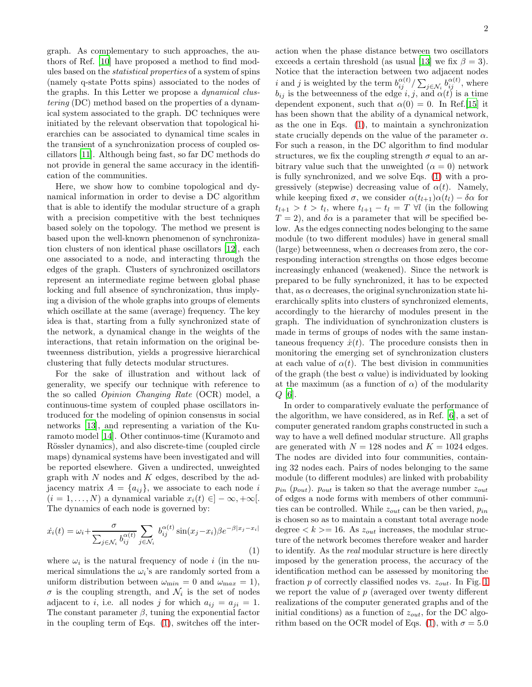2

graph. As complementary to such approaches, the authors of Ref. [\[10\]](#page-3-9) have proposed a method to find modules based on the statistical properties of a system of spins (namely q-state Potts spins) associated to the nodes of the graphs. In this Letter we propose a dynamical clustering (DC) method based on the properties of a dynamical system associated to the graph. DC techniques were initiated by the relevant observation that topological hierarchies can be associated to dynamical time scales in the transient of a synchronization process of coupled oscillators [\[11\]](#page-3-10). Although being fast, so far DC methods do not provide in general the same accuracy in the identification of the communities.

Here, we show how to combine topological and dynamical information in order to devise a DC algorithm that is able to identify the modular structure of a graph with a precision competitive with the best techniques based solely on the topology. The method we present is based upon the well-known phenomenon of synchronization clusters of non identical phase oscillators [\[12\]](#page-3-11), each one associated to a node, and interacting through the edges of the graph. Clusters of synchronized oscillators represent an intermediate regime between global phase locking and full absence of synchronization, thus implying a division of the whole graphs into groups of elements which oscillate at the same (average) frequency. The key idea is that, starting from a fully synchronized state of the network, a dynamical change in the weights of the interactions, that retain information on the original betweenness distribution, yields a progressive hierarchical clustering that fully detects modular structures.

For the sake of illustration and without lack of generality, we specify our technique with reference to the so called Opinion Changing Rate (OCR) model, a continuous-time system of coupled phase oscillators introduced for the modeling of opinion consensus in social networks [\[13\]](#page-3-12), and representing a variation of the Kuramoto model [\[14\]](#page-3-13). Other continuos-time (Kuramoto and Rössler dynamics), and also discrete-time (coupled circle maps) dynamical systems have been investigated and will be reported elsewhere. Given a undirected, unweighted graph with  $N$  nodes and  $K$  edges, described by the adjacency matrix  $A = \{a_{ij}\}\text{, we associate to each node }i$  $(i = 1, \ldots, N)$  a dynamical variable  $x_i(t) \in ]-\infty, +\infty[$ . The dynamics of each node is governed by:

<span id="page-1-0"></span>
$$
\dot{x}_i(t) = \omega_i + \frac{\sigma}{\sum_{j \in \mathcal{N}_i} b_{ij}^{\alpha(t)}} \sum_{j \in \mathcal{N}_i} b_{ij}^{\alpha(t)} \sin(x_j - x_i) \beta e^{-\beta |x_j - x_i|}
$$
\n(1)

where  $\omega_i$  is the natural frequency of node i (in the numerical simulations the  $\omega_i$ 's are randomly sorted from a uniform distribution between  $\omega_{\text{min}} = 0$  and  $\omega_{\text{max}} = 1$ ,  $\sigma$  is the coupling strength, and  $\mathcal{N}_i$  is the set of nodes adjacent to i, i.e. all nodes j for which  $a_{ij} = a_{ji} = 1$ . The constant parameter  $\beta$ , tuning the exponential factor in the coupling term of Eqs. [\(1\)](#page-1-0), switches off the interaction when the phase distance between two oscillators exceeds a certain threshold (as usual [\[13\]](#page-3-12) we fix  $\beta = 3$ ). Notice that the interaction between two adjacent nodes *i* and *j* is weighted by the term  $b_{ij}^{\alpha(t)}/\sum_{j \in \mathcal{N}_i} b_{ij}^{\alpha(t)}$ , where  $b_{ij}$  is the betweenness of the edge i, j, and  $\alpha(t)$  is a time dependent exponent, such that  $\alpha(0) = 0$ . In Ref.[\[15\]](#page-4-0) it has been shown that the ability of a dynamical network, as the one in Eqs. [\(1\)](#page-1-0), to maintain a synchronization state crucially depends on the value of the parameter  $\alpha$ . For such a reason, in the DC algorithm to find modular structures, we fix the coupling strength  $\sigma$  equal to an arbitrary value such that the unweighted  $(\alpha = 0)$  network is fully synchronized, and we solve Eqs. [\(1\)](#page-1-0) with a progressively (stepwise) decreasing value of  $\alpha(t)$ . Namely, while keeping fixed  $\sigma$ , we consider  $\alpha(t_{l+1})\alpha(t_l) - \delta \alpha$  for  $t_{l+1} > t > t_l$ , where  $t_{l+1} - t_l = T \ \forall l$  (in the following  $T = 2$ , and  $\delta \alpha$  is a parameter that will be specified below. As the edges connecting nodes belonging to the same module (to two different modules) have in general small (large) betweenness, when  $\alpha$  decreases from zero, the corresponding interaction strengths on those edges become increasingly enhanced (weakened). Since the network is prepared to be fully synchronized, it has to be expected that, as  $\alpha$  decreases, the original synchronization state hierarchically splits into clusters of synchronized elements, accordingly to the hierarchy of modules present in the graph. The individuation of synchronization clusters is made in terms of groups of nodes with the same instantaneous frequency  $\dot{x}(t)$ . The procedure consists then in monitoring the emerging set of synchronization clusters at each value of  $\alpha(t)$ . The best division in communities of the graph (the best  $\alpha$  value) is individuated by looking at the maximum (as a function of  $\alpha$ ) of the modularity  $Q$  [\[6\]](#page-3-5).

In order to comparatively evaluate the performance of the algorithm, we have considered, as in Ref. [\[6](#page-3-5)], a set of computer generated random graphs constructed in such a way to have a well defined modular structure. All graphs are generated with  $N = 128$  nodes and  $K = 1024$  edges. The nodes are divided into four communities, containing 32 nodes each. Pairs of nodes belonging to the same module (to different modules) are linked with probability  $p_{in}$  ( $p_{out}$ ).  $p_{out}$  is taken so that the average number  $z_{out}$ of edges a node forms with members of other communities can be controlled. While  $z_{out}$  can be then varied,  $p_{in}$ is chosen so as to maintain a constant total average node degree  $\langle k \rangle = 16$ . As  $z_{out}$  increases, the modular structure of the network becomes therefore weaker and harder to identify. As the real modular structure is here directly imposed by the generation process, the accuracy of the identification method can be assessed by monitoring the fraction  $p$  of correctly classified nodes vs.  $z_{out}$ . In Fig. [1](#page-2-0) we report the value of  $p$  (averaged over twenty different realizations of the computer generated graphs and of the initial conditions) as a function of  $z_{out}$ , for the DC algo-rithm based on the OCR model of Eqs. [\(1\)](#page-1-0), with  $\sigma = 5.0$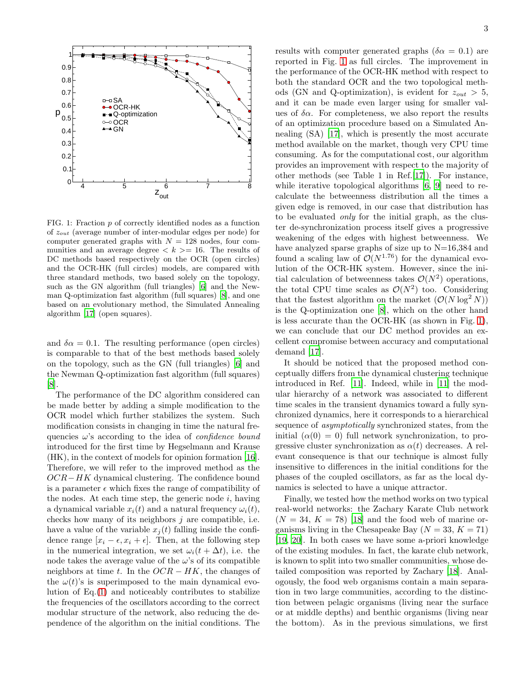

<span id="page-2-0"></span>FIG. 1: Fraction  $p$  of correctly identified nodes as a function of  $z_{out}$  (average number of inter-modular edges per node) for computer generated graphs with  $N = 128$  nodes, four communities and an average degree  $\langle k \rangle = 16$ . The results of DC methods based respectively on the OCR (open circles) and the OCR-HK (full circles) models, are compared with three standard methods, two based solely on the topology, such as the GN algorithm (full triangles) [\[6\]](#page-3-5) and the Newman Q-optimization fast algorithm (full squares) [\[8\]](#page-3-7), and one based on an evolutionary method, the Simulated Annealing algorithm [\[17\]](#page-4-1) (open squares).

and  $\delta \alpha = 0.1$ . The resulting performance (open circles) is comparable to that of the best methods based solely on the topology, such as the GN (full triangles) [\[6](#page-3-5)] and the Newman Q-optimization fast algorithm (full squares) [\[8\]](#page-3-7).

The performance of the DC algorithm considered can be made better by adding a simple modification to the OCR model which further stabilizes the system. Such modification consists in changing in time the natural frequencies  $\omega$ 's according to the idea of *confidence bound* introduced for the first time by Hegselmann and Krause (HK), in the context of models for opinion formation [\[16\]](#page-4-2). Therefore, we will refer to the improved method as the  $OCR-HK$  dynamical clustering. The confidence bound is a parameter  $\epsilon$  which fixes the range of compatibility of the nodes. At each time step, the generic node  $i$ , having a dynamical variable  $x_i(t)$  and a natural frequency  $\omega_i(t)$ , checks how many of its neighbors  $j$  are compatible, i.e. have a value of the variable  $x_i(t)$  falling inside the confidence range  $[x_i - \epsilon, x_i + \epsilon]$ . Then, at the following step in the numerical integration, we set  $\omega_i(t + \Delta t)$ , i.e. the node takes the average value of the  $\omega$ 's of its compatible neighbors at time t. In the  $OCR - HK$ , the changes of the  $\omega(t)$ 's is superimposed to the main dynamical evolution of Eq.[\(1\)](#page-1-0) and noticeably contributes to stabilize the frequencies of the oscillators according to the correct modular structure of the network, also reducing the dependence of the algorithm on the initial conditions. The results with computer generated graphs ( $\delta \alpha = 0.1$ ) are reported in Fig. [1](#page-2-0) as full circles. The improvement in the performance of the OCR-HK method with respect to both the standard OCR and the two topological methods (GN and Q-optimization), is evident for  $z_{out} > 5$ , and it can be made even larger using for smaller values of  $\delta \alpha$ . For completeness, we also report the results of an optimization procedure based on a Simulated Annealing (SA) [\[17\]](#page-4-1), which is presently the most accurate method available on the market, though very CPU time consuming. As for the computational cost, our algorithm provides an improvement with respect to the majority of other methods (see Table 1 in Ref.[\[17\]](#page-4-1)). For instance, while iterative topological algorithms [\[6,](#page-3-5) [9](#page-3-8)] need to recalculate the betweenness distribution all the times a given edge is removed, in our case that distribution has to be evaluated only for the initial graph, as the cluster de-synchronization process itself gives a progressive weakening of the edges with highest betweenness. We have analyzed sparse graphs of size up to N=16,384 and found a scaling law of  $\mathcal{O}(N^{1.76})$  for the dynamical evolution of the OCR-HK system. However, since the initial calculation of betweenness takes  $\mathcal{O}(N^2)$  operations, the total CPU time scales as  $\mathcal{O}(N^2)$  too. Considering that the fastest algorithm on the market  $(\mathcal{O}(N \log^2 N))$ is the Q-optimization one [\[8](#page-3-7)], which on the other hand is less accurate than the OCR-HK (as shown in Fig. [1\)](#page-2-0), we can conclude that our DC method provides an excellent compromise between accuracy and computational demand [\[17](#page-4-1)].

It should be noticed that the proposed method conceptually differs from the dynamical clustering technique introduced in Ref. [\[11](#page-3-10)]. Indeed, while in [\[11](#page-3-10)] the modular hierarchy of a network was associated to different time scales in the transient dynamics toward a fully synchronized dynamics, here it corresponds to a hierarchical sequence of asymptotically synchronized states, from the initial  $(\alpha(0) = 0)$  full network synchronization, to progressive cluster synchronization as  $\alpha(t)$  decreases. A relevant consequence is that our technique is almost fully insensitive to differences in the initial conditions for the phases of the coupled oscillators, as far as the local dynamics is selected to have a unique attractor.

Finally, we tested how the method works on two typical real-world networks: the Zachary Karate Club network  $(N = 34, K = 78)$  [\[18\]](#page-4-3) and the food web of marine organisms living in the Chesapeake Bay  $(N = 33, K = 71)$ [\[19,](#page-4-4) [20](#page-4-5)]. In both cases we have some a-priori knowledge of the existing modules. In fact, the karate club network, is known to split into two smaller communities, whose detailed composition was reported by Zachary [\[18\]](#page-4-3). Analogously, the food web organisms contain a main separation in two large communities, according to the distinction between pelagic organisms (living near the surface or at middle depths) and benthic organisms (living near the bottom). As in the previous simulations, we first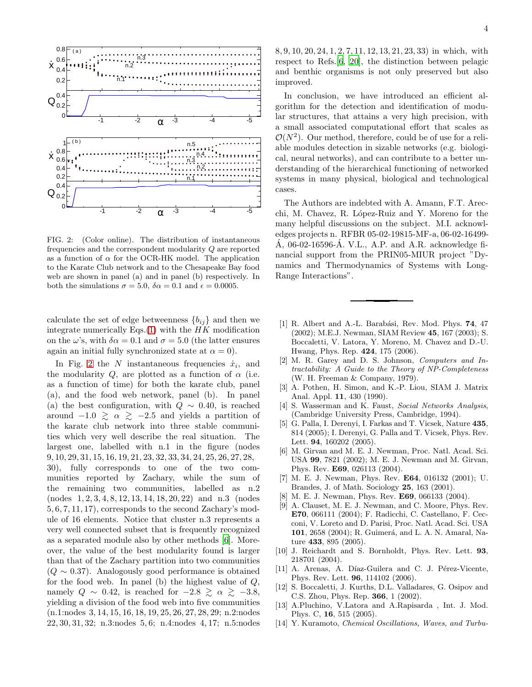

<span id="page-3-14"></span>FIG. 2: (Color online). The distribution of instantaneous frequencies and the correspondent modularity Q are reported as a function of  $\alpha$  for the OCR-HK model. The application to the Karate Club network and to the Chesapeake Bay food web are shown in panel (a) and in panel (b) respectively. In both the simulations  $\sigma = 5.0$ ,  $\delta \alpha = 0.1$  and  $\epsilon = 0.0005$ .

calculate the set of edge betweenness  ${b_{ij}}$  and then we integrate numerically Eqs. $(1)$  with the HK modification on the  $\omega$ 's, with  $\delta \alpha = 0.1$  and  $\sigma = 5.0$  (the latter ensures again an initial fully synchronized state at  $\alpha = 0$ ).

In Fig. [2](#page-3-14) the N instantaneous frequencies  $\dot{x}_i$ , and the modularity  $Q$ , are plotted as a function of  $\alpha$  (i.e. as a function of time) for both the karate club, panel (a), and the food web network, panel (b). In panel (a) the best configuration, with  $Q \sim 0.40$ , is reached around  $-1.0 \ge \alpha \ge -2.5$  and yields a partition of the karate club network into three stable communities which very well describe the real situation. The largest one, labelled with n.1 in the figure (nodes 9, 10, 29, 31, 15, 16, 19, 21, 23, 32, 33, 34, 24, 25, 26, 27, 28, 30), fully corresponds to one of the two communities reported by Zachary, while the sum of the remaining two communities, labelled as n.2 (nodes 1, 2, 3, 4, 8, 12, 13, 14, 18, 20, 22) and n.3 (nodes 5, 6, 7, 11, 17), corresponds to the second Zachary's module of 16 elements. Notice that cluster n.3 represents a very well connected subset that is frequently recognized as a separated module also by other methods [\[6](#page-3-5)]. Moreover, the value of the best modularity found is larger than that of the Zachary partition into two communities  $(Q \sim 0.37)$ . Analogously good performance is obtained for the food web. In panel (b) the highest value of  $Q$ , namely  $Q \sim 0.42$ , is reached for  $-2.8 \ge \alpha \ge -3.8$ , yielding a division of the food web into five communities (n.1:nodes 3, 14, 15, 16, 18, 19, 25, 26, 27, 28, 29; n.2:nodes 22, 30, 31, 32; n.3:nodes 5, 6; n.4:nodes 4, 17; n.5:nodes

8, 9, 10, 20, 24, 1, 2, 7, 11, 12, 13, 21, 23, 33) in which, with respect to Refs.[\[6](#page-3-5), [20\]](#page-4-5), the distinction between pelagic and benthic organisms is not only preserved but also improved.

In conclusion, we have introduced an efficient algorithm for the detection and identification of modular structures, that attains a very high precision, with a small associated computational effort that scales as  $\mathcal{O}(N^2)$ . Our method, therefore, could be of use for a reliable modules detection in sizable networks (e.g. biological, neural networks), and can contribute to a better understanding of the hierarchical functioning of networked systems in many physical, biological and technological cases.

The Authors are indebted with A. Amann, F.T. Arecchi, M. Chavez, R. López-Ruiz and Y. Moreno for the many helpful discussions on the subject. M.I. acknowledges projects n. RFBR 05-02-19815-MF-a, 06-02-16499-  $\acute{A}$ , 06-02-16596- $\acute{A}$ . V.L., A.P. and A.R. acknowledge financial support from the PRIN05-MIUR project "Dynamics and Thermodynamics of Systems with Long-Range Interactions".

- <span id="page-3-0"></span>[1] R. Albert and A.-L. Barabási, Rev. Mod. Phys. 74, 47 (2002); M.E.J. Newman, SIAM Review 45, 167 (2003); S. Boccaletti, V. Latora, Y. Moreno, M. Chavez and D.-U. Hwang, Phys. Rep. 424, 175 (2006).
- <span id="page-3-1"></span>[2] M. R. Garey and D. S. Johnson, *Computers and Intractability: A Guide to the Theory of NP-Completeness* (W. H. Freeman & Company, 1979).
- <span id="page-3-2"></span>[3] A. Pothen, H. Simon, and K.-P. Liou, SIAM J. Matrix Anal. Appl. 11, 430 (1990).
- <span id="page-3-3"></span>[4] S. Wasserman and K. Faust, *Social Networks Analysis*, (Cambridge University Press, Cambridge, 1994).
- <span id="page-3-4"></span>[5] G. Palla, I. Derenyi, I. Farkas and T. Vicsek, Nature 435, 814 (2005); I. Derenyi, G. Palla and T. Vicsek, Phys. Rev. Lett. 94, 160202 (2005).
- <span id="page-3-5"></span>[6] M. Girvan and M. E. J. Newman, Proc. Natl. Acad. Sci. USA 99, 7821 (2002); M. E. J. Newman and M. Girvan, Phys. Rev. E69, 026113 (2004).
- <span id="page-3-6"></span>[7] M. E. J. Newman, Phys. Rev. E64, 016132 (2001); U. Brandes, J. of Math. Sociology 25, 163 (2001).
- <span id="page-3-7"></span>[8] M. E. J. Newman, Phys. Rev. **E69**, 066133 (2004).
- <span id="page-3-8"></span>[9] A. Clauset, M. E. J. Newman, and C. Moore, Phys. Rev. E70, 066111 (2004); F. Radicchi, C. Castellano, F. Cecconi, V. Loreto and D. Parisi, Proc. Natl. Acad. Sci. USA 101, 2658 (2004); R. Guimerá, and L. A. N. Amaral, Nature 433, 895 (2005).
- <span id="page-3-9"></span>[10] J. Reichardt and S. Bornholdt, Phys. Rev. Lett. 93, 218701 (2004).
- <span id="page-3-10"></span>[11] A. Arenas, A. Díaz-Guilera and C. J. Pérez-Vicente, Phys. Rev. Lett. 96, 114102 (2006).
- <span id="page-3-11"></span>[12] S. Boccaletti, J. Kurths, D.L. Valladares, G. Osipov and C.S. Zhou, Phys. Rep. 366, 1 (2002).
- <span id="page-3-12"></span>[13] A.Pluchino, V.Latora and A.Rapisarda , Int. J. Mod. Phys. C, 16, 515 (2005).
- <span id="page-3-13"></span>[14] Y. Kuramoto, *Chemical Oscillations, Waves, and Turbu-*